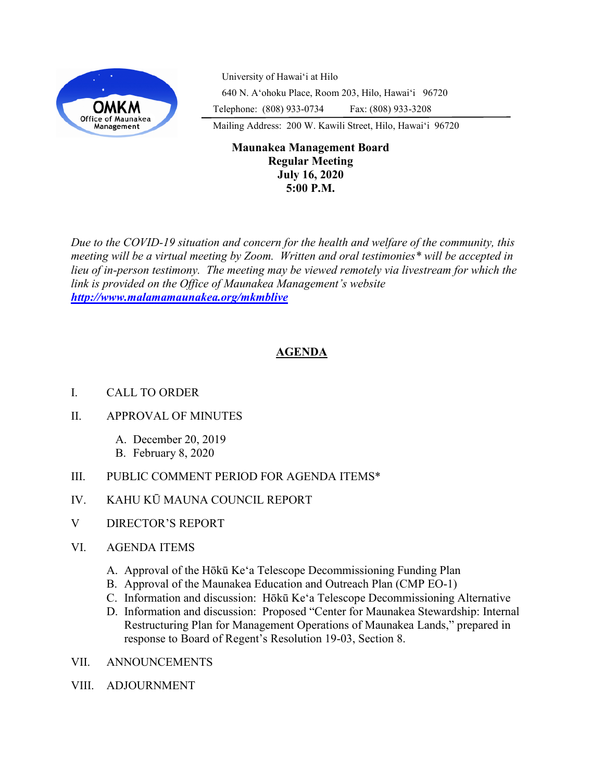

University of Hawaiʻi at Hilo 640 N. A'ohoku Place, Room 203, Hilo, Hawai'i 96720 Telephone: (808) 933-0734 Fax: (808) 933-3208

Mailing Address: 200 W. Kawili Street, Hilo, Hawai'i 96720

## **Maunakea Management Board Regular Meeting July 16, 2020 5:00 P.M.**

*Due to the COVID-19 situation and concern for the health and welfare of the community, this meeting will be a virtual meeting by Zoom. Written and oral testimonies\* will be accepted in lieu of in-person testimony. The meeting may be viewed remotely via livestream for which the link is provided on the Office of Maunakea Management's website <http://www.malamamaunakea.org/mkmblive>*

# **AGENDA**

- I. CALL TO ORDER
- II. APPROVAL OF MINUTES
	- A. December 20, 2019
	- B. February 8, 2020
- III. PUBLIC COMMENT PERIOD FOR AGENDA ITEMS\*
- IV. KAHU KŪ MAUNA COUNCIL REPORT
- V DIRECTOR'S REPORT
- VI. AGENDA ITEMS
	- A. Approval of the Hōkū Ke'a Telescope Decommissioning Funding Plan
	- B. Approval of the Maunakea Education and Outreach Plan (CMP EO-1)
	- C. Information and discussion: Hōkū Ke'a Telescope Decommissioning Alternative
	- D. Information and discussion: Proposed "Center for Maunakea Stewardship: Internal Restructuring Plan for Management Operations of Maunakea Lands," prepared in response to Board of Regent's Resolution 19-03, Section 8.
- VII. ANNOUNCEMENTS
- VIII. ADJOURNMENT